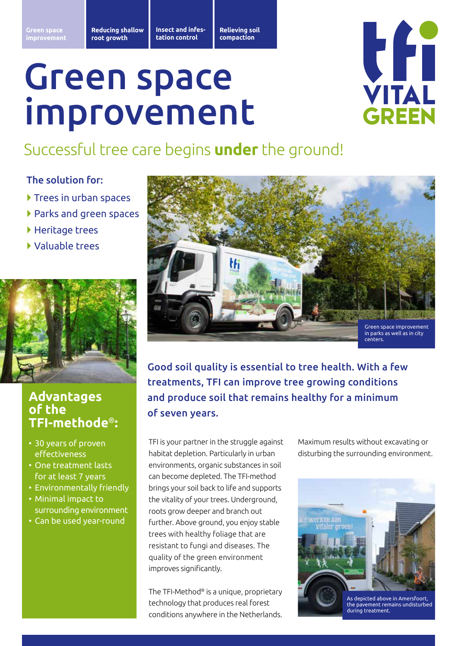**Insect and infestation control**

**Relieving soil compaction**

# Green space improvement



## Successful tree care begins **under** the ground!

### The solution for:

- } Trees in urban spaces
- } Parks and green spaces
- ▶ Heritage trees
- } Valuable trees



### **Advantages of the TFI-methode**®**:**

- 30 years of proven effectiveness
- One treatment lasts for at least 7 years
- Environmentally friendly
- Minimal impact to surrounding environment
- Can be used year-round



Good soil quality is essential to tree health. With a few treatments, TFI can improve tree growing conditions and produce soil that remains healthy for a minimum of seven years.

TFI is your partner in the struggle against habitat depletion. Particularly in urban environments, organic substances in soil can become depleted. The TFI-method brings your soil back to life and supports the vitality of your trees. Underground, roots grow deeper and branch out further. Above ground, you enjoy stable trees with healthy foliage that are resistant to fungi and diseases. The quality of the green environment improves significantly.

The TFI-Method® is a unique, proprietary technology that produces real forest conditions anywhere in the Netherlands. Maximum results without excavating or disturbing the surrounding environment.